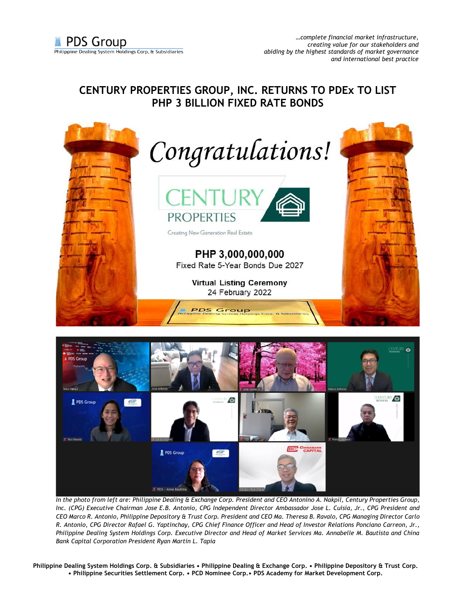## **CENTURY PROPERTIES GROUP, INC. RETURNS TO PDEx TO LIST PHP 3 BILLION FIXED RATE BONDS**





*In the photo from left are: Philippine Dealing & Exchange Corp. President and CEO Antonino A. Nakpil, Century Properties Group, Inc. (CPG) Executive Chairman Jose E.B. Antonio, CPG Independent Director Ambassador Jose L. Cuisia, Jr., CPG President and CEO Marco R. Antonio, Philippine Depository & Trust Corp. President and CEO Ma. Theresa B. Ravalo, CPG Managing Director Carlo R. Antonio, CPG Director Rafael G. Yaptinchay, CPG Chief Finance Officer and Head of Investor Relations Ponciano Carreon, Jr., Philippine Dealing System Holdings Corp. Executive Director and Head of Market Services Ma. Annabelle M. Bautista and China Bank Capital Corporation President Ryan Martin L. Tapia*

**Philippine Dealing System Holdings Corp. & Subsidiaries • Philippine Dealing & Exchange Corp. • Philippine Depository & Trust Corp. • Philippine Securities Settlement Corp. • PCD Nominee Corp.• PDS Academy for Market Development Corp.**